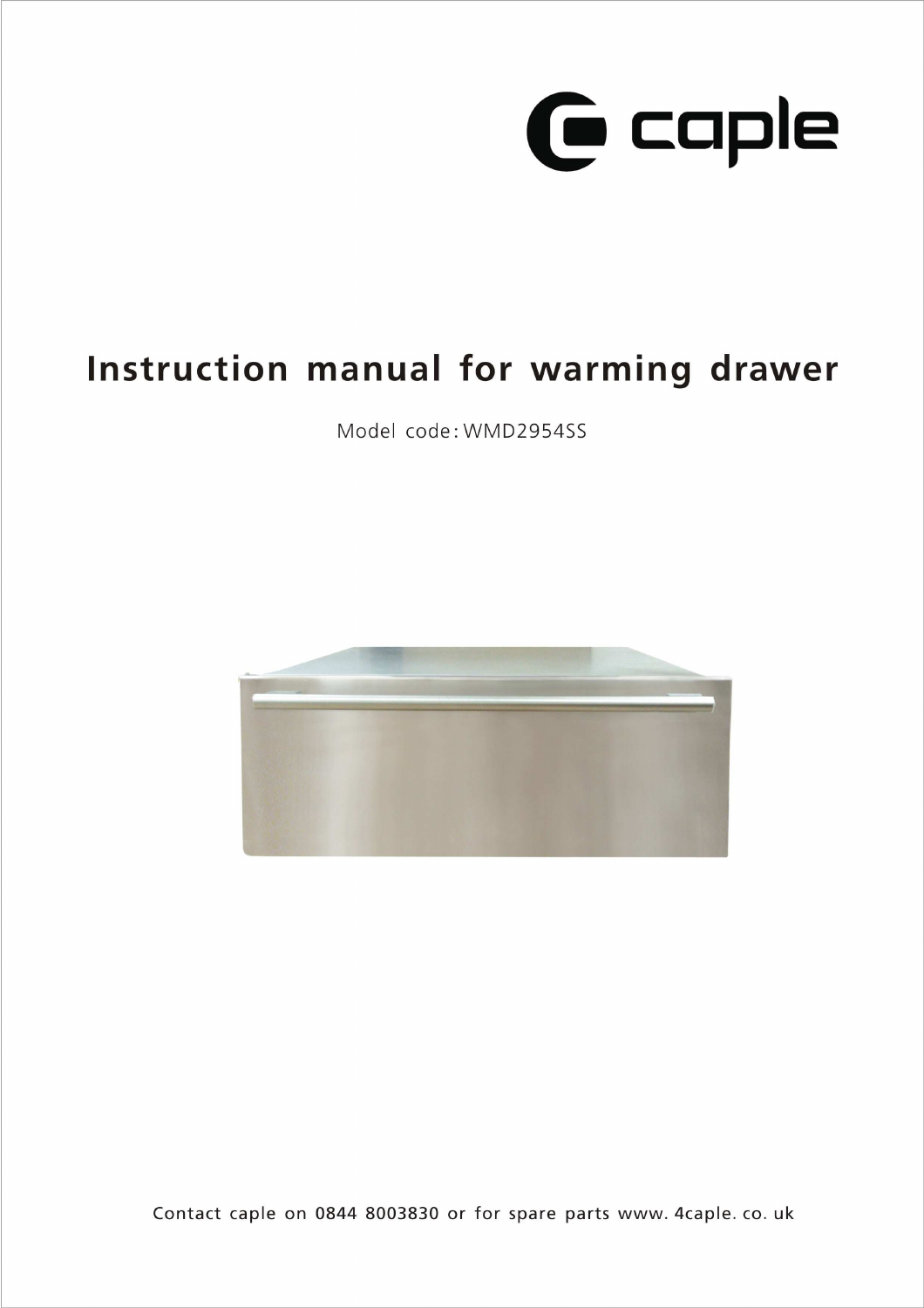

# Instruction manual for warming drawer

Model code: WMD2954SS



Contact caple on 0844 8003830 or for spare parts www. 4caple. co. uk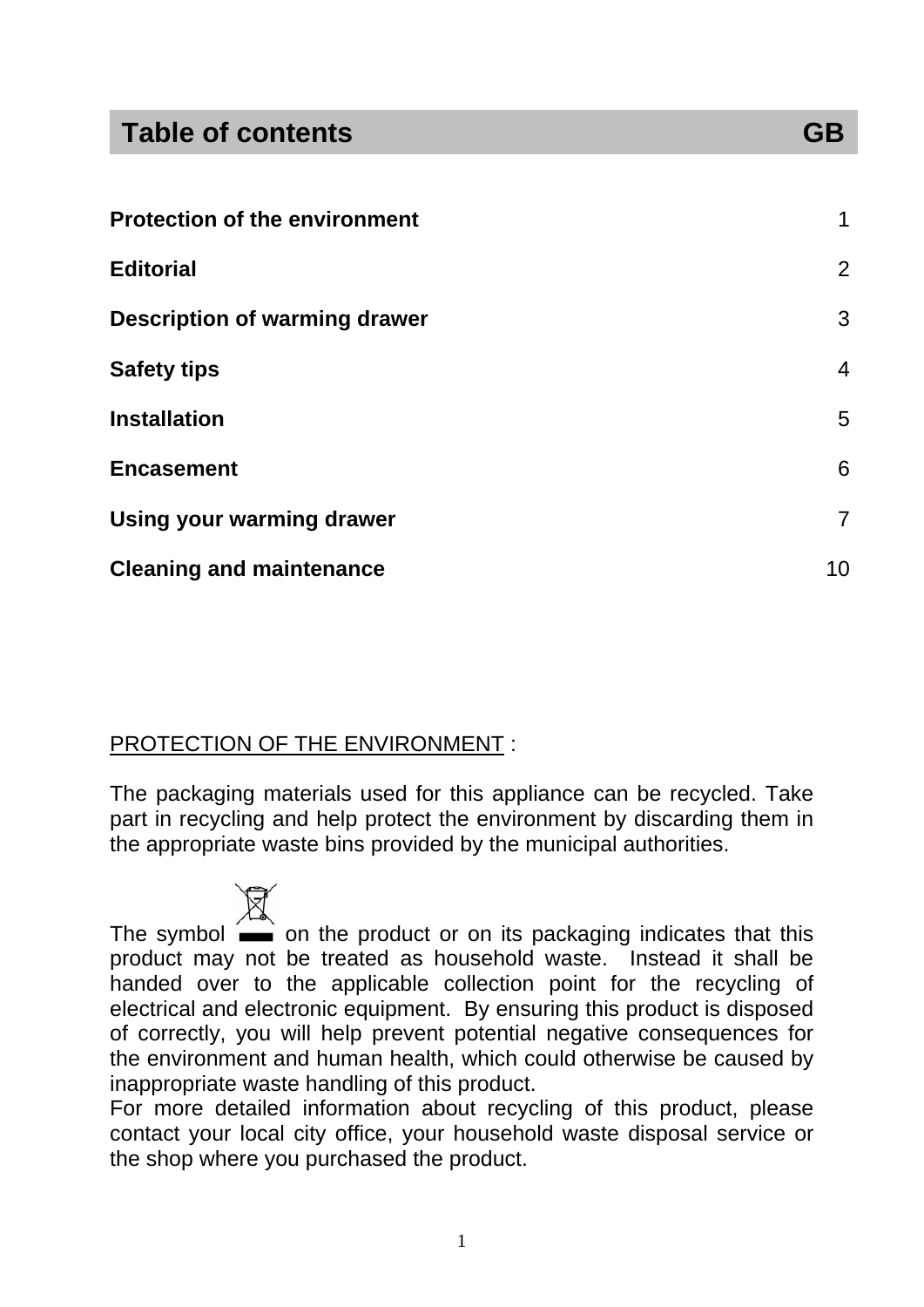### **Table of contents GB**

| <b>Protection of the environment</b> |                |
|--------------------------------------|----------------|
| <b>Editorial</b>                     | 2              |
| <b>Description of warming drawer</b> | 3              |
| <b>Safety tips</b>                   | 4              |
| <b>Installation</b>                  | 5              |
| <b>Encasement</b>                    | 6              |
| <b>Using your warming drawer</b>     | $\overline{7}$ |
| <b>Cleaning and maintenance</b>      | 10             |

#### PROTECTION OF THE ENVIRONMENT :

The packaging materials used for this appliance can be recycled. Take part in recycling and help protect the environment by discarding them in the appropriate waste bins provided by the municipal authorities.

The symbol  $\sim$  on the product or on its packaging indicates that this product may not be treated as household waste. Instead it shall be handed over to the applicable collection point for the recycling of electrical and electronic equipment. By ensuring this product is disposed of correctly, you will help prevent potential negative consequences for the environment and human health, which could otherwise be caused by inappropriate waste handling of this product.

For more detailed information about recycling of this product, please contact your local city office, your household waste disposal service or the shop where you purchased the product.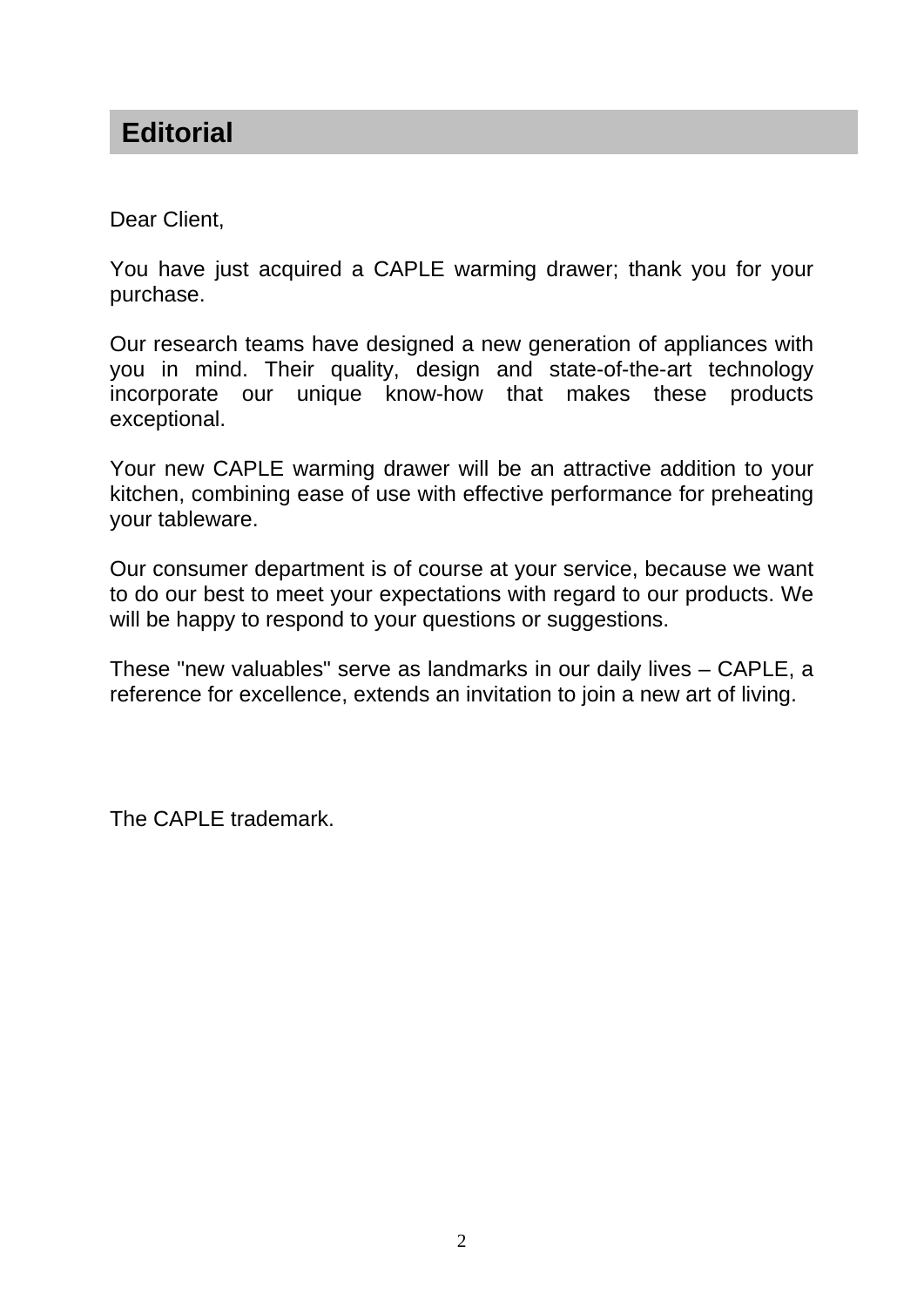### **Editorial**

Dear Client,

You have just acquired a CAPLE warming drawer; thank you for your purchase.

Our research teams have designed a new generation of appliances with you in mind. Their quality, design and state-of-the-art technology incorporate our unique know-how that makes these products exceptional.

Your new CAPLE warming drawer will be an attractive addition to your kitchen, combining ease of use with effective performance for preheating your tableware.

Our consumer department is of course at your service, because we want to do our best to meet your expectations with regard to our products. We will be happy to respond to your questions or suggestions.

These "new valuables" serve as landmarks in our daily lives – CAPLE, a reference for excellence, extends an invitation to join a new art of living.

The CAPLE trademark.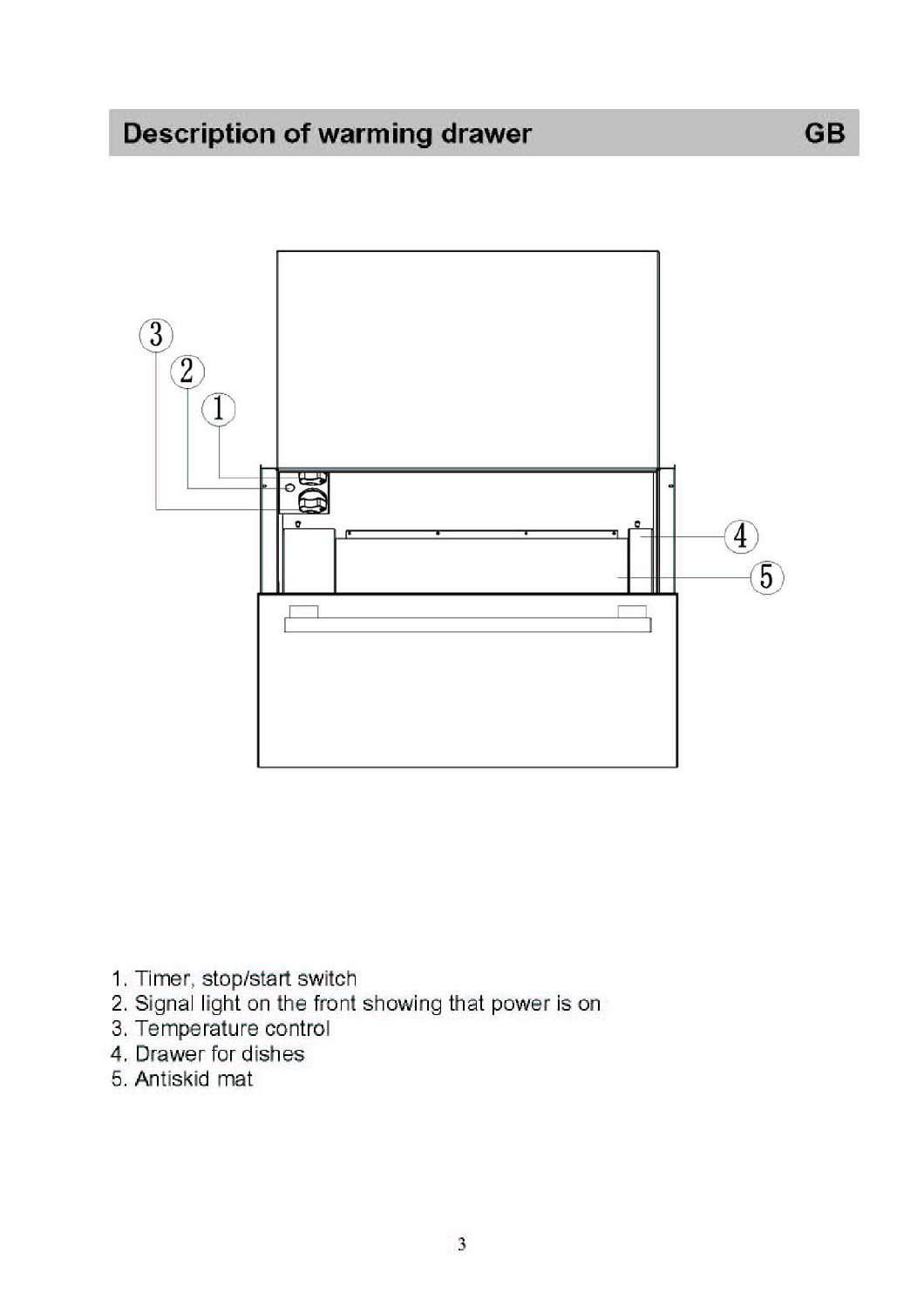## **Description of warming drawer**



**GB** 

- 1. Timer, stop/start switch
- 2. Signal light on the front showing that power is on<br>3. Temperature control
- 
- 4. Drawer for dishes
- 5. Antiskid mat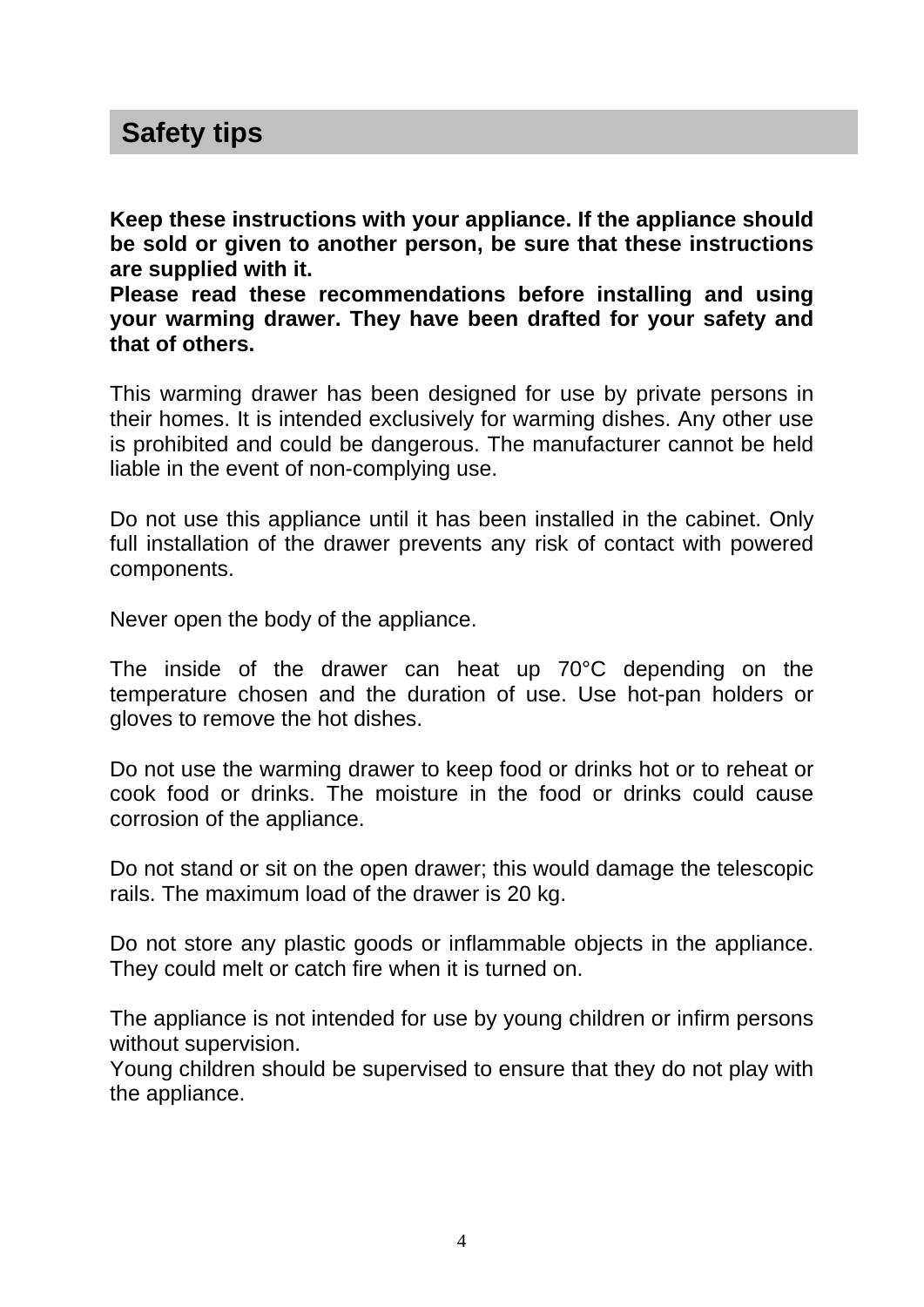### **Safety tips**

**Keep these instructions with your appliance. If the appliance should be sold or given to another person, be sure that these instructions are supplied with it.** 

**Please read these recommendations before installing and using your warming drawer. They have been drafted for your safety and that of others.** 

This warming drawer has been designed for use by private persons in their homes. It is intended exclusively for warming dishes. Any other use is prohibited and could be dangerous. The manufacturer cannot be held liable in the event of non-complying use.

Do not use this appliance until it has been installed in the cabinet. Only full installation of the drawer prevents any risk of contact with powered components.

Never open the body of the appliance.

The inside of the drawer can heat up 70°C depending on the temperature chosen and the duration of use. Use hot-pan holders or gloves to remove the hot dishes.

Do not use the warming drawer to keep food or drinks hot or to reheat or cook food or drinks. The moisture in the food or drinks could cause corrosion of the appliance.

Do not stand or sit on the open drawer; this would damage the telescopic rails. The maximum load of the drawer is 20 kg.

Do not store any plastic goods or inflammable objects in the appliance. They could melt or catch fire when it is turned on.

The appliance is not intended for use by young children or infirm persons without supervision.

Young children should be supervised to ensure that they do not play with the appliance.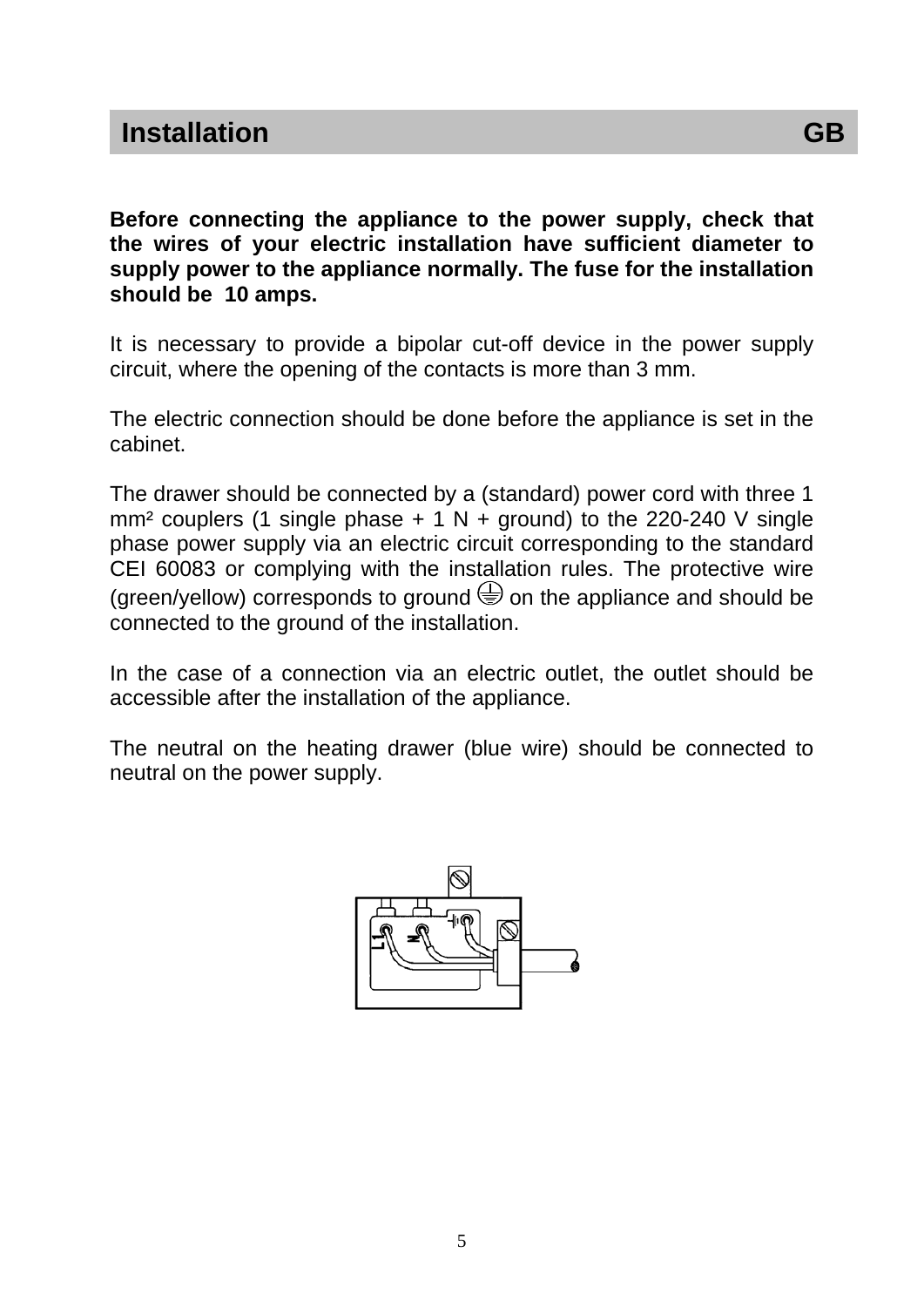**Before connecting the appliance to the power supply, check that the wires of your electric installation have sufficient diameter to supply power to the appliance normally. The fuse for the installation should be 10 amps.** 

It is necessary to provide a bipolar cut-off device in the power supply circuit, where the opening of the contacts is more than 3 mm.

The electric connection should be done before the appliance is set in the cabinet.

The drawer should be connected by a (standard) power cord with three 1 mm<sup>2</sup> couplers (1 single phase  $+ 1 N +$  ground) to the 220-240 V single phase power supply via an electric circuit corresponding to the standard CEI 60083 or complying with the installation rules. The protective wire (green/yellow) corresponds to ground  $\bigcirc$  on the appliance and should be connected to the ground of the installation.

In the case of a connection via an electric outlet, the outlet should be accessible after the installation of the appliance.

The neutral on the heating drawer (blue wire) should be connected to neutral on the power supply.

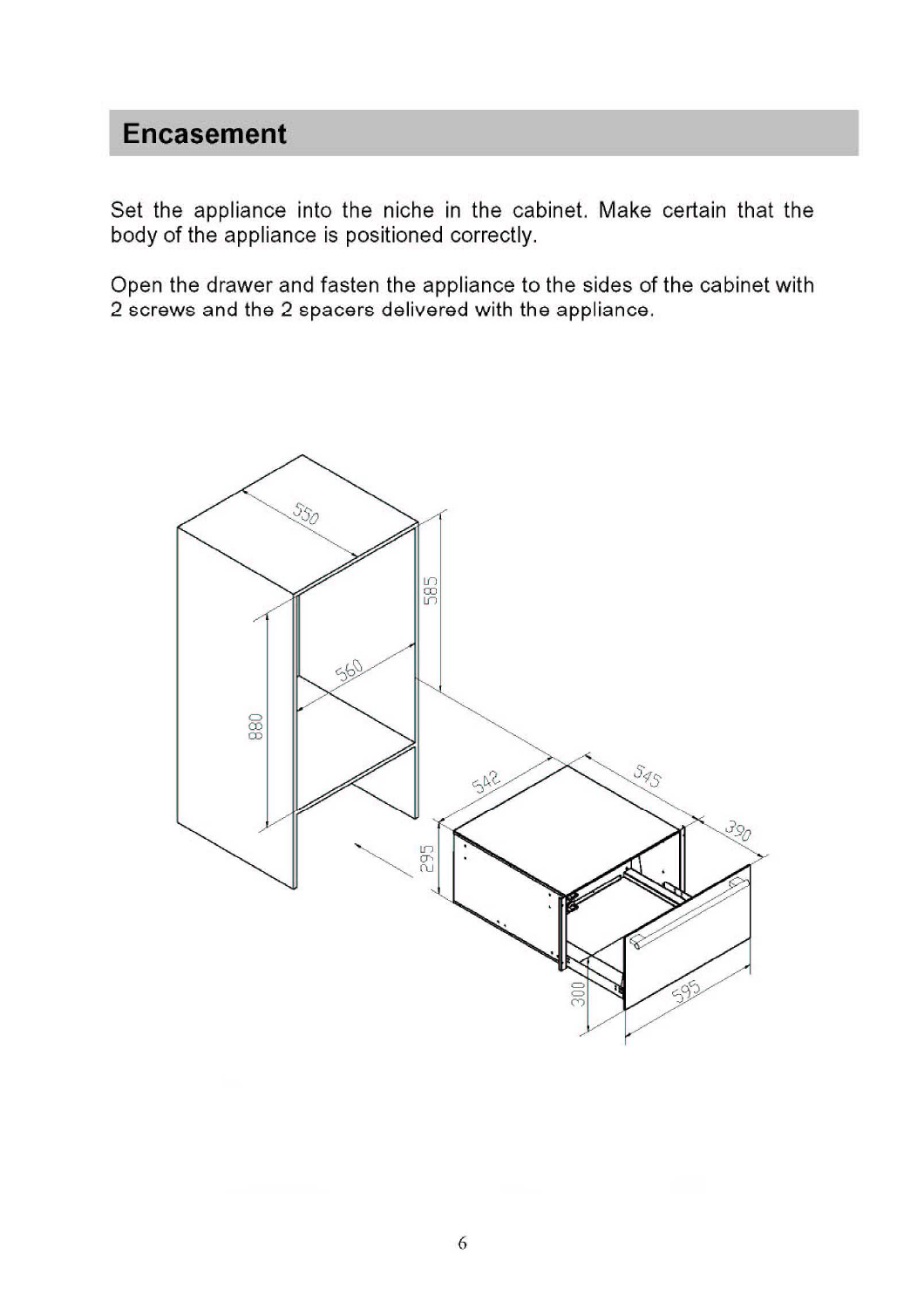### **Encasement**

Set the appliance into the niche in the cabinet. Make certain that the body of the appliance is positioned correctly.

Open the drawer and fasten the appliance to the sides of the cabinet with 2 screws and the 2 spacers delivered with the appliance.

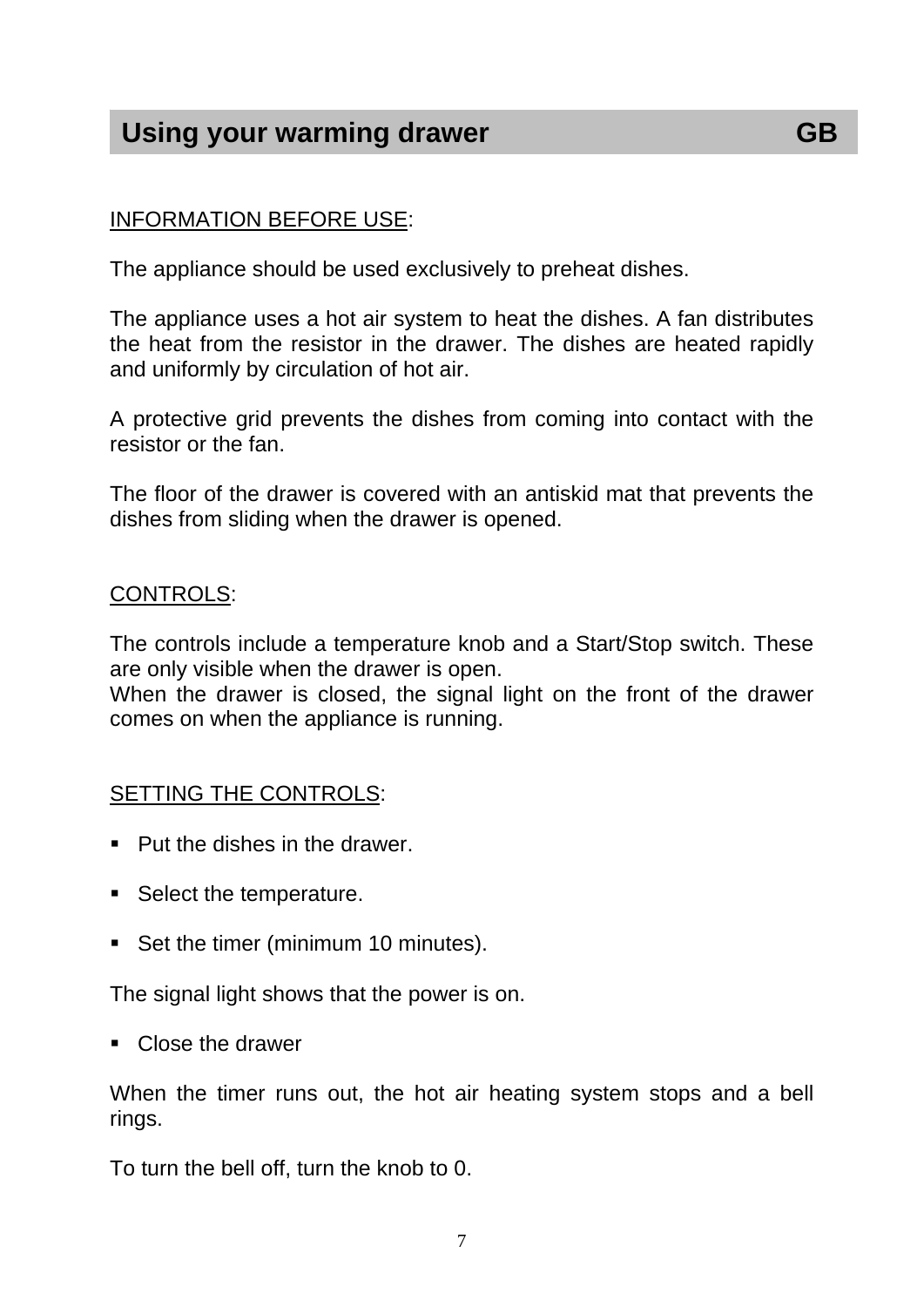### **Using your warming drawer GB**

#### INFORMATION BEFORE USE:

The appliance should be used exclusively to preheat dishes.

The appliance uses a hot air system to heat the dishes. A fan distributes the heat from the resistor in the drawer. The dishes are heated rapidly and uniformly by circulation of hot air.

A protective grid prevents the dishes from coming into contact with the resistor or the fan.

The floor of the drawer is covered with an antiskid mat that prevents the dishes from sliding when the drawer is opened.

#### CONTROLS:

The controls include a temperature knob and a Start/Stop switch. These are only visible when the drawer is open.

When the drawer is closed, the signal light on the front of the drawer comes on when the appliance is running.

#### SETTING THE CONTROLS:

- Put the dishes in the drawer.
- Select the temperature.
- Set the timer (minimum 10 minutes).

The signal light shows that the power is on.

Close the drawer

When the timer runs out, the hot air heating system stops and a bell rings.

To turn the bell off, turn the knob to 0.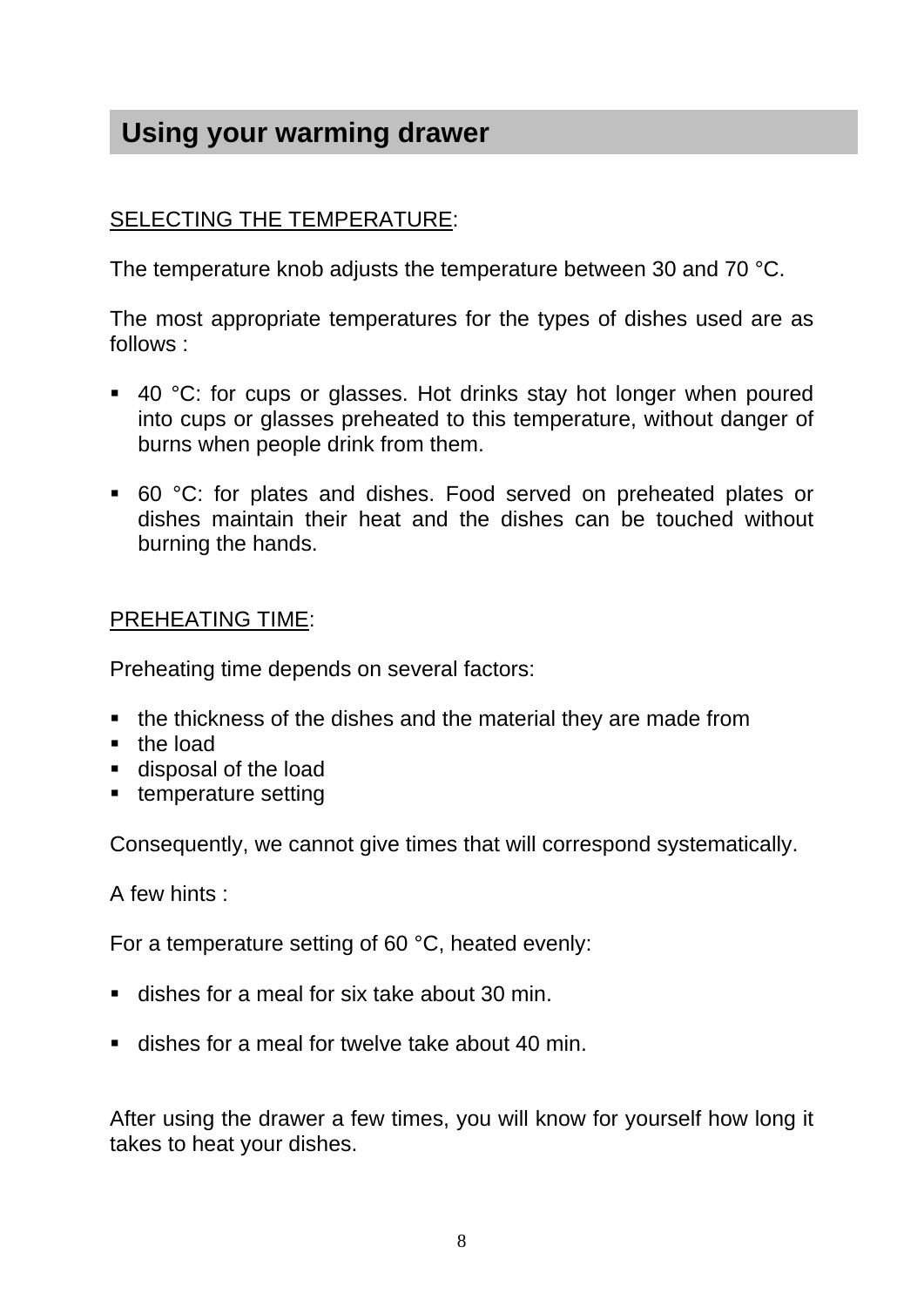### **Using your warming drawer**

#### SELECTING THE TEMPERATURE:

The temperature knob adjusts the temperature between 30 and 70 °C.

The most appropriate temperatures for the types of dishes used are as follows :

- 40 °C: for cups or glasses. Hot drinks stay hot longer when poured into cups or glasses preheated to this temperature, without danger of burns when people drink from them.
- 60 °C: for plates and dishes. Food served on preheated plates or dishes maintain their heat and the dishes can be touched without burning the hands.

#### PREHEATING TIME:

Preheating time depends on several factors:

- **the thickness of the dishes and the material they are made from**
- the load
- disposal of the load
- **temperature setting**

Consequently, we cannot give times that will correspond systematically.

A few hints :

For a temperature setting of 60 °C, heated evenly:

- dishes for a meal for six take about 30 min.
- **dishes for a meal for twelve take about 40 min.**

After using the drawer a few times, you will know for yourself how long it takes to heat your dishes.